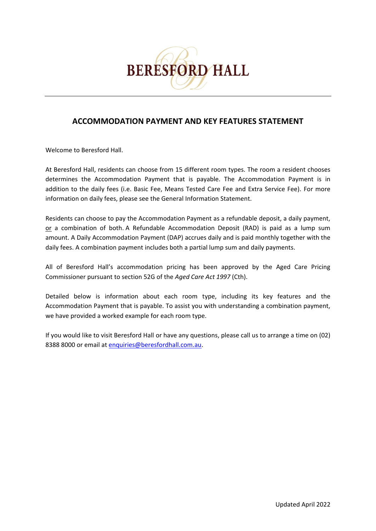

# **ACCOMMODATION PAYMENT AND KEY FEATURES STATEMENT**

Welcome to Beresford Hall.

At Beresford Hall, residents can choose from 15 different room types. The room a resident chooses determines the Accommodation Payment that is payable. The Accommodation Payment is in addition to the daily fees (i.e. Basic Fee, Means Tested Care Fee and Extra Service Fee). For more information on daily fees, please see the General Information Statement.

Residents can choose to pay the Accommodation Payment as a refundable deposit, a daily payment, or a combination of both. A Refundable Accommodation Deposit (RAD) is paid as a lump sum amount. A Daily Accommodation Payment (DAP) accrues daily and is paid monthly together with the daily fees. A combination payment includes both a partial lump sum and daily payments.

All of Beresford Hall's accommodation pricing has been approved by the Aged Care Pricing Commissioner pursuant to section 52G of the *Aged Care Act 1997* (Cth).

Detailed below is information about each room type, including its key features and the Accommodation Payment that is payable. To assist you with understanding a combination payment, we have provided a worked example for each room type.

If you would like to visit Beresford Hall or have any questions, please call us to arrange a time on (02) 8388 8000 or email at [enquiries@beresfordhall.com.au.](mailto:enquiries@beresfordhall.com.au)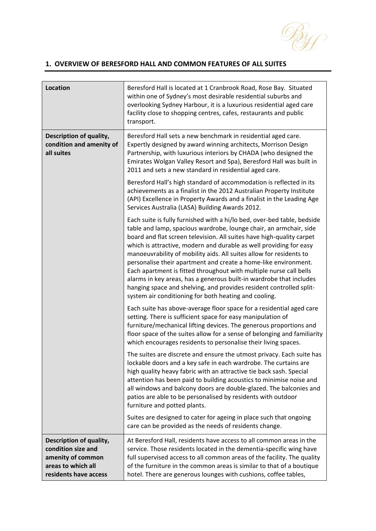

### **1. OVERVIEW OF BERESFORD HALL AND COMMON FEATURES OF ALL SUITES**

| <b>Location</b>                                                                                                   | Beresford Hall is located at 1 Cranbrook Road, Rose Bay. Situated<br>within one of Sydney's most desirable residential suburbs and<br>overlooking Sydney Harbour, it is a luxurious residential aged care<br>facility close to shopping centres, cafes, restaurants and public<br>transport.                                                                                                                                                                                                                                                                                                                                                                                                                        |
|-------------------------------------------------------------------------------------------------------------------|---------------------------------------------------------------------------------------------------------------------------------------------------------------------------------------------------------------------------------------------------------------------------------------------------------------------------------------------------------------------------------------------------------------------------------------------------------------------------------------------------------------------------------------------------------------------------------------------------------------------------------------------------------------------------------------------------------------------|
| Description of quality,<br>condition and amenity of<br>all suites                                                 | Beresford Hall sets a new benchmark in residential aged care.<br>Expertly designed by award winning architects, Morrison Design<br>Partnership, with luxurious interiors by CHADA (who designed the<br>Emirates Wolgan Valley Resort and Spa), Beresford Hall was built in<br>2011 and sets a new standard in residential aged care.                                                                                                                                                                                                                                                                                                                                                                                |
|                                                                                                                   | Beresford Hall's high standard of accommodation is reflected in its<br>achievements as a finalist in the 2012 Australian Property Institute<br>(API) Excellence in Property Awards and a finalist in the Leading Age<br>Services Australia (LASA) Building Awards 2012.                                                                                                                                                                                                                                                                                                                                                                                                                                             |
|                                                                                                                   | Each suite is fully furnished with a hi/lo bed, over-bed table, bedside<br>table and lamp, spacious wardrobe, lounge chair, an armchair, side<br>board and flat screen television. All suites have high-quality carpet<br>which is attractive, modern and durable as well providing for easy<br>manoeuvrability of mobility aids. All suites allow for residents to<br>personalise their apartment and create a home-like environment.<br>Each apartment is fitted throughout with multiple nurse call bells<br>alarms in key areas, has a generous built-in wardrobe that includes<br>hanging space and shelving, and provides resident controlled split-<br>system air conditioning for both heating and cooling. |
|                                                                                                                   | Each suite has above-average floor space for a residential aged care<br>setting. There is sufficient space for easy manipulation of<br>furniture/mechanical lifting devices. The generous proportions and<br>floor space of the suites allow for a sense of belonging and familiarity<br>which encourages residents to personalise their living spaces.                                                                                                                                                                                                                                                                                                                                                             |
|                                                                                                                   | The suites are discrete and ensure the utmost privacy. Each suite has<br>lockable doors and a key safe in each wardrobe. The curtains are<br>high quality heavy fabric with an attractive tie back sash. Special<br>attention has been paid to building acoustics to minimise noise and<br>all windows and balcony doors are double-glazed. The balconies and<br>patios are able to be personalised by residents with outdoor<br>furniture and potted plants.                                                                                                                                                                                                                                                       |
|                                                                                                                   | Suites are designed to cater for ageing in place such that ongoing<br>care can be provided as the needs of residents change.                                                                                                                                                                                                                                                                                                                                                                                                                                                                                                                                                                                        |
| Description of quality,<br>condition size and<br>amenity of common<br>areas to which all<br>residents have access | At Beresford Hall, residents have access to all common areas in the<br>service. Those residents located in the dementia-specific wing have<br>full supervised access to all common areas of the facility. The quality<br>of the furniture in the common areas is similar to that of a boutique<br>hotel. There are generous lounges with cushions, coffee tables,                                                                                                                                                                                                                                                                                                                                                   |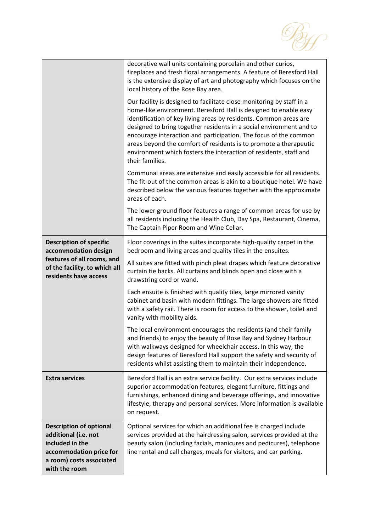

|                                                                                                                                                   | decorative wall units containing porcelain and other curios,<br>fireplaces and fresh floral arrangements. A feature of Beresford Hall<br>is the extensive display of art and photography which focuses on the<br>local history of the Rose Bay area.                                                                                                                                                                                                                                                                   |
|---------------------------------------------------------------------------------------------------------------------------------------------------|------------------------------------------------------------------------------------------------------------------------------------------------------------------------------------------------------------------------------------------------------------------------------------------------------------------------------------------------------------------------------------------------------------------------------------------------------------------------------------------------------------------------|
|                                                                                                                                                   | Our facility is designed to facilitate close monitoring by staff in a<br>home-like environment. Beresford Hall is designed to enable easy<br>identification of key living areas by residents. Common areas are<br>designed to bring together residents in a social environment and to<br>encourage interaction and participation. The focus of the common<br>areas beyond the comfort of residents is to promote a therapeutic<br>environment which fosters the interaction of residents, staff and<br>their families. |
|                                                                                                                                                   | Communal areas are extensive and easily accessible for all residents.<br>The fit-out of the common areas is akin to a boutique hotel. We have<br>described below the various features together with the approximate<br>areas of each.                                                                                                                                                                                                                                                                                  |
|                                                                                                                                                   | The lower ground floor features a range of common areas for use by<br>all residents including the Health Club, Day Spa, Restaurant, Cinema,<br>The Captain Piper Room and Wine Cellar.                                                                                                                                                                                                                                                                                                                                 |
| <b>Description of specific</b><br>accommodation design<br>features of all rooms, and<br>of the facility, to which all<br>residents have access    | Floor coverings in the suites incorporate high-quality carpet in the<br>bedroom and living areas and quality tiles in the ensuites.                                                                                                                                                                                                                                                                                                                                                                                    |
|                                                                                                                                                   | All suites are fitted with pinch pleat drapes which feature decorative<br>curtain tie backs. All curtains and blinds open and close with a<br>drawstring cord or wand.                                                                                                                                                                                                                                                                                                                                                 |
|                                                                                                                                                   | Each ensuite is finished with quality tiles, large mirrored vanity<br>cabinet and basin with modern fittings. The large showers are fitted<br>with a safety rail. There is room for access to the shower, toilet and<br>vanity with mobility aids.                                                                                                                                                                                                                                                                     |
|                                                                                                                                                   | The local environment encourages the residents (and their family<br>and friends) to enjoy the beauty of Rose Bay and Sydney Harbour<br>with walkways designed for wheelchair access. In this way, the<br>design features of Beresford Hall support the safety and security of<br>residents whilst assisting them to maintain their independence.                                                                                                                                                                       |
| <b>Extra services</b>                                                                                                                             | Beresford Hall is an extra service facility. Our extra services include<br>superior accommodation features, elegant furniture, fittings and<br>furnishings, enhanced dining and beverage offerings, and innovative<br>lifestyle, therapy and personal services. More information is available<br>on request.                                                                                                                                                                                                           |
| <b>Description of optional</b><br>additional (i.e. not<br>included in the<br>accommodation price for<br>a room) costs associated<br>with the room | Optional services for which an additional fee is charged include<br>services provided at the hairdressing salon, services provided at the<br>beauty salon (including facials, manicures and pedicures), telephone<br>line rental and call charges, meals for visitors, and car parking.                                                                                                                                                                                                                                |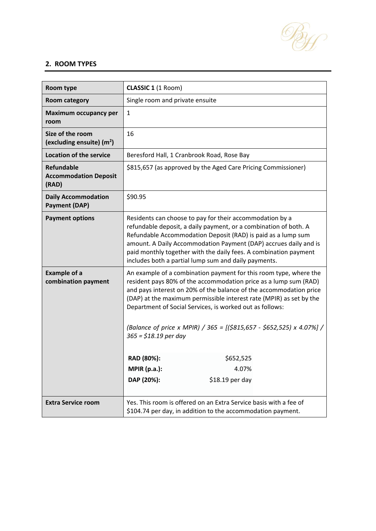

#### **2. ROOM TYPES**

| Room type                                                  | <b>CLASSIC 1 (1 Room)</b>                                                                                                                                                                                                                                                                                                                                                                                                                         |  |  |
|------------------------------------------------------------|---------------------------------------------------------------------------------------------------------------------------------------------------------------------------------------------------------------------------------------------------------------------------------------------------------------------------------------------------------------------------------------------------------------------------------------------------|--|--|
| <b>Room category</b>                                       | Single room and private ensuite                                                                                                                                                                                                                                                                                                                                                                                                                   |  |  |
| Maximum occupancy per<br>room                              | $\mathbf{1}$                                                                                                                                                                                                                                                                                                                                                                                                                                      |  |  |
| Size of the room<br>(excluding ensuite) $(m2)$             | 16                                                                                                                                                                                                                                                                                                                                                                                                                                                |  |  |
| <b>Location of the service</b>                             | Beresford Hall, 1 Cranbrook Road, Rose Bay                                                                                                                                                                                                                                                                                                                                                                                                        |  |  |
| <b>Refundable</b><br><b>Accommodation Deposit</b><br>(RAD) | \$815,657 (as approved by the Aged Care Pricing Commissioner)                                                                                                                                                                                                                                                                                                                                                                                     |  |  |
| <b>Daily Accommodation</b><br><b>Payment (DAP)</b>         | \$90.95                                                                                                                                                                                                                                                                                                                                                                                                                                           |  |  |
| <b>Payment options</b>                                     | Residents can choose to pay for their accommodation by a<br>refundable deposit, a daily payment, or a combination of both. A<br>Refundable Accommodation Deposit (RAD) is paid as a lump sum<br>amount. A Daily Accommodation Payment (DAP) accrues daily and is<br>paid monthly together with the daily fees. A combination payment<br>includes both a partial lump sum and daily payments.                                                      |  |  |
| <b>Example of a</b><br>combination payment                 | An example of a combination payment for this room type, where the<br>resident pays 80% of the accommodation price as a lump sum (RAD)<br>and pays interest on 20% of the balance of the accommodation price<br>(DAP) at the maximum permissible interest rate (MPIR) as set by the<br>Department of Social Services, is worked out as follows:<br>(Balance of price x MPIR) / 365 = [(\$815,657 - \$652,525) x 4.07%] /<br>$365 = $18.19$ per day |  |  |
|                                                            | RAD (80%):<br>\$652,525                                                                                                                                                                                                                                                                                                                                                                                                                           |  |  |
|                                                            | <b>MPIR (p.a.):</b><br>4.07%                                                                                                                                                                                                                                                                                                                                                                                                                      |  |  |
|                                                            | DAP (20%):<br>\$18.19 per day                                                                                                                                                                                                                                                                                                                                                                                                                     |  |  |
| <b>Extra Service room</b>                                  | Yes. This room is offered on an Extra Service basis with a fee of<br>\$104.74 per day, in addition to the accommodation payment.                                                                                                                                                                                                                                                                                                                  |  |  |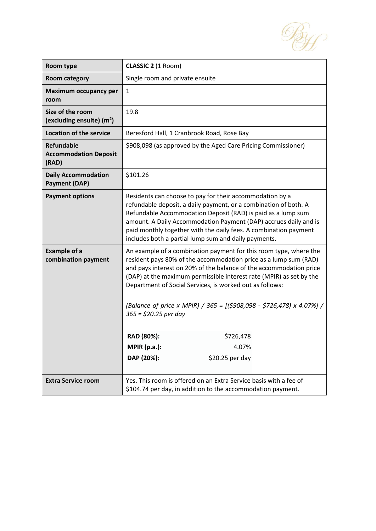By

| Room type                                                  | CLASSIC 2 (1 Room)                                                                                                                                                                                                                                                                                                                                                                                                                                |                                                                                                                                  |  |
|------------------------------------------------------------|---------------------------------------------------------------------------------------------------------------------------------------------------------------------------------------------------------------------------------------------------------------------------------------------------------------------------------------------------------------------------------------------------------------------------------------------------|----------------------------------------------------------------------------------------------------------------------------------|--|
| <b>Room category</b>                                       | Single room and private ensuite                                                                                                                                                                                                                                                                                                                                                                                                                   |                                                                                                                                  |  |
| <b>Maximum occupancy per</b><br>room                       | $\mathbf{1}$                                                                                                                                                                                                                                                                                                                                                                                                                                      |                                                                                                                                  |  |
| Size of the room<br>(excluding ensuite) $(m2)$             | 19.8                                                                                                                                                                                                                                                                                                                                                                                                                                              |                                                                                                                                  |  |
| <b>Location of the service</b>                             | Beresford Hall, 1 Cranbrook Road, Rose Bay                                                                                                                                                                                                                                                                                                                                                                                                        |                                                                                                                                  |  |
| <b>Refundable</b><br><b>Accommodation Deposit</b><br>(RAD) | \$908,098 (as approved by the Aged Care Pricing Commissioner)                                                                                                                                                                                                                                                                                                                                                                                     |                                                                                                                                  |  |
| <b>Daily Accommodation</b><br><b>Payment (DAP)</b>         | \$101.26                                                                                                                                                                                                                                                                                                                                                                                                                                          |                                                                                                                                  |  |
| <b>Payment options</b>                                     | Residents can choose to pay for their accommodation by a<br>refundable deposit, a daily payment, or a combination of both. A<br>Refundable Accommodation Deposit (RAD) is paid as a lump sum<br>amount. A Daily Accommodation Payment (DAP) accrues daily and is<br>paid monthly together with the daily fees. A combination payment<br>includes both a partial lump sum and daily payments.                                                      |                                                                                                                                  |  |
| <b>Example of a</b><br>combination payment                 | An example of a combination payment for this room type, where the<br>resident pays 80% of the accommodation price as a lump sum (RAD)<br>and pays interest on 20% of the balance of the accommodation price<br>(DAP) at the maximum permissible interest rate (MPIR) as set by the<br>Department of Social Services, is worked out as follows:<br>(Balance of price x MPIR) / 365 = [(\$908,098 - \$726,478) x 4.07%] /<br>$365 = $20.25$ per day |                                                                                                                                  |  |
|                                                            | RAD (80%):                                                                                                                                                                                                                                                                                                                                                                                                                                        | \$726,478                                                                                                                        |  |
|                                                            | <b>MPIR (p.a.):</b>                                                                                                                                                                                                                                                                                                                                                                                                                               | 4.07%                                                                                                                            |  |
|                                                            | DAP (20%):                                                                                                                                                                                                                                                                                                                                                                                                                                        | $$20.25$ per day                                                                                                                 |  |
| <b>Extra Service room</b>                                  |                                                                                                                                                                                                                                                                                                                                                                                                                                                   | Yes. This room is offered on an Extra Service basis with a fee of<br>\$104.74 per day, in addition to the accommodation payment. |  |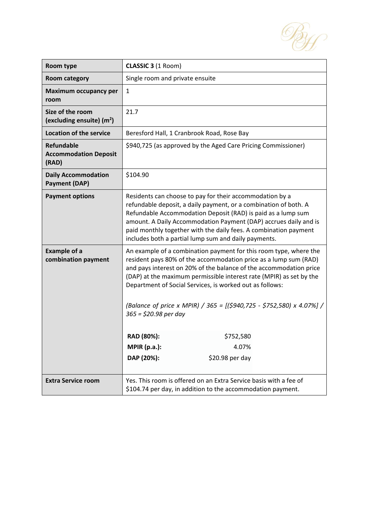By

| Room type                                                  | CLASSIC 3 (1 Room)                                                                                                                                                                                                                                                                                                                                                                                                                                                                  |  |  |
|------------------------------------------------------------|-------------------------------------------------------------------------------------------------------------------------------------------------------------------------------------------------------------------------------------------------------------------------------------------------------------------------------------------------------------------------------------------------------------------------------------------------------------------------------------|--|--|
| <b>Room category</b>                                       | Single room and private ensuite                                                                                                                                                                                                                                                                                                                                                                                                                                                     |  |  |
| <b>Maximum occupancy per</b><br>room                       | $\mathbf{1}$                                                                                                                                                                                                                                                                                                                                                                                                                                                                        |  |  |
| Size of the room<br>(excluding ensuite) $(m2)$             | 21.7                                                                                                                                                                                                                                                                                                                                                                                                                                                                                |  |  |
| <b>Location of the service</b>                             | Beresford Hall, 1 Cranbrook Road, Rose Bay                                                                                                                                                                                                                                                                                                                                                                                                                                          |  |  |
| <b>Refundable</b><br><b>Accommodation Deposit</b><br>(RAD) | \$940,725 (as approved by the Aged Care Pricing Commissioner)                                                                                                                                                                                                                                                                                                                                                                                                                       |  |  |
| <b>Daily Accommodation</b><br><b>Payment (DAP)</b>         | \$104.90                                                                                                                                                                                                                                                                                                                                                                                                                                                                            |  |  |
| <b>Payment options</b>                                     | Residents can choose to pay for their accommodation by a<br>refundable deposit, a daily payment, or a combination of both. A<br>Refundable Accommodation Deposit (RAD) is paid as a lump sum<br>amount. A Daily Accommodation Payment (DAP) accrues daily and is<br>paid monthly together with the daily fees. A combination payment<br>includes both a partial lump sum and daily payments.                                                                                        |  |  |
| <b>Example of a</b><br>combination payment                 | An example of a combination payment for this room type, where the<br>resident pays 80% of the accommodation price as a lump sum (RAD)<br>and pays interest on 20% of the balance of the accommodation price<br>(DAP) at the maximum permissible interest rate (MPIR) as set by the<br>Department of Social Services, is worked out as follows:<br>(Balance of price x MPIR) / 365 = $[(5940, 725 - $752,580) \times 4.07\%]$ /<br>$365 = $20.98$ per day<br>RAD (80%):<br>\$752,580 |  |  |
|                                                            | MPIR(p.a.):<br>4.07%                                                                                                                                                                                                                                                                                                                                                                                                                                                                |  |  |
|                                                            | DAP (20%):<br>\$20.98 per day                                                                                                                                                                                                                                                                                                                                                                                                                                                       |  |  |
| <b>Extra Service room</b>                                  | Yes. This room is offered on an Extra Service basis with a fee of<br>\$104.74 per day, in addition to the accommodation payment.                                                                                                                                                                                                                                                                                                                                                    |  |  |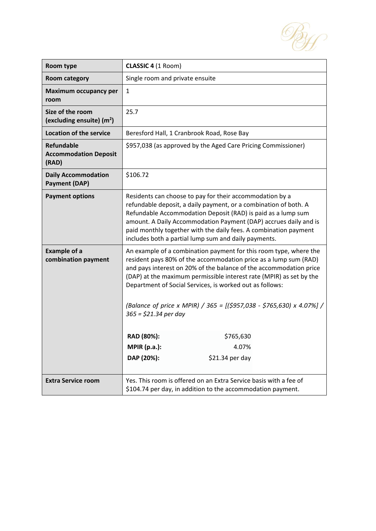By

| Room type                                                  | CLASSIC 4 (1 Room)                                                                                                                                                                                                                                                                                                                                                                                                                                |                                                                                                                                  |  |
|------------------------------------------------------------|---------------------------------------------------------------------------------------------------------------------------------------------------------------------------------------------------------------------------------------------------------------------------------------------------------------------------------------------------------------------------------------------------------------------------------------------------|----------------------------------------------------------------------------------------------------------------------------------|--|
| <b>Room category</b>                                       | Single room and private ensuite                                                                                                                                                                                                                                                                                                                                                                                                                   |                                                                                                                                  |  |
| <b>Maximum occupancy per</b><br>room                       | $\mathbf{1}$                                                                                                                                                                                                                                                                                                                                                                                                                                      |                                                                                                                                  |  |
| Size of the room<br>(excluding ensuite) $(m2)$             | 25.7                                                                                                                                                                                                                                                                                                                                                                                                                                              |                                                                                                                                  |  |
| <b>Location of the service</b>                             | Beresford Hall, 1 Cranbrook Road, Rose Bay                                                                                                                                                                                                                                                                                                                                                                                                        |                                                                                                                                  |  |
| <b>Refundable</b><br><b>Accommodation Deposit</b><br>(RAD) | \$957,038 (as approved by the Aged Care Pricing Commissioner)                                                                                                                                                                                                                                                                                                                                                                                     |                                                                                                                                  |  |
| <b>Daily Accommodation</b><br><b>Payment (DAP)</b>         | \$106.72                                                                                                                                                                                                                                                                                                                                                                                                                                          |                                                                                                                                  |  |
| <b>Payment options</b>                                     | Residents can choose to pay for their accommodation by a<br>refundable deposit, a daily payment, or a combination of both. A<br>Refundable Accommodation Deposit (RAD) is paid as a lump sum<br>amount. A Daily Accommodation Payment (DAP) accrues daily and is<br>paid monthly together with the daily fees. A combination payment<br>includes both a partial lump sum and daily payments.                                                      |                                                                                                                                  |  |
| <b>Example of a</b><br>combination payment                 | An example of a combination payment for this room type, where the<br>resident pays 80% of the accommodation price as a lump sum (RAD)<br>and pays interest on 20% of the balance of the accommodation price<br>(DAP) at the maximum permissible interest rate (MPIR) as set by the<br>Department of Social Services, is worked out as follows:<br>(Balance of price x MPIR) / 365 = [(\$957,038 - \$765,630) x 4.07%] /<br>$365 = $21.34$ per day |                                                                                                                                  |  |
|                                                            | RAD (80%):                                                                                                                                                                                                                                                                                                                                                                                                                                        | \$765,630                                                                                                                        |  |
|                                                            | <b>MPIR (p.a.):</b>                                                                                                                                                                                                                                                                                                                                                                                                                               | 4.07%                                                                                                                            |  |
|                                                            | DAP (20%):                                                                                                                                                                                                                                                                                                                                                                                                                                        | $$21.34$ per day                                                                                                                 |  |
| <b>Extra Service room</b>                                  |                                                                                                                                                                                                                                                                                                                                                                                                                                                   | Yes. This room is offered on an Extra Service basis with a fee of<br>\$104.74 per day, in addition to the accommodation payment. |  |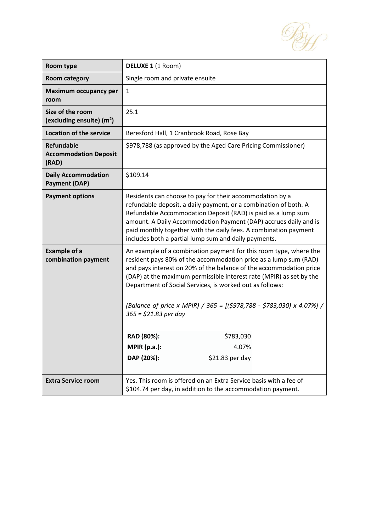By

| Room type                                                  | DELUXE 1 (1 Room)                                                                                                                                                                                                                                                                                                                                                                                                                                 |                                                                                                                                  |  |
|------------------------------------------------------------|---------------------------------------------------------------------------------------------------------------------------------------------------------------------------------------------------------------------------------------------------------------------------------------------------------------------------------------------------------------------------------------------------------------------------------------------------|----------------------------------------------------------------------------------------------------------------------------------|--|
| <b>Room category</b>                                       | Single room and private ensuite                                                                                                                                                                                                                                                                                                                                                                                                                   |                                                                                                                                  |  |
| <b>Maximum occupancy per</b><br>room                       | $\mathbf{1}$                                                                                                                                                                                                                                                                                                                                                                                                                                      |                                                                                                                                  |  |
| Size of the room<br>(excluding ensuite) $(m2)$             | 25.1                                                                                                                                                                                                                                                                                                                                                                                                                                              |                                                                                                                                  |  |
| <b>Location of the service</b>                             | Beresford Hall, 1 Cranbrook Road, Rose Bay                                                                                                                                                                                                                                                                                                                                                                                                        |                                                                                                                                  |  |
| <b>Refundable</b><br><b>Accommodation Deposit</b><br>(RAD) | \$978,788 (as approved by the Aged Care Pricing Commissioner)                                                                                                                                                                                                                                                                                                                                                                                     |                                                                                                                                  |  |
| <b>Daily Accommodation</b><br><b>Payment (DAP)</b>         | \$109.14                                                                                                                                                                                                                                                                                                                                                                                                                                          |                                                                                                                                  |  |
| <b>Payment options</b>                                     | Residents can choose to pay for their accommodation by a<br>refundable deposit, a daily payment, or a combination of both. A<br>Refundable Accommodation Deposit (RAD) is paid as a lump sum<br>amount. A Daily Accommodation Payment (DAP) accrues daily and is<br>paid monthly together with the daily fees. A combination payment<br>includes both a partial lump sum and daily payments.                                                      |                                                                                                                                  |  |
| <b>Example of a</b><br>combination payment                 | An example of a combination payment for this room type, where the<br>resident pays 80% of the accommodation price as a lump sum (RAD)<br>and pays interest on 20% of the balance of the accommodation price<br>(DAP) at the maximum permissible interest rate (MPIR) as set by the<br>Department of Social Services, is worked out as follows:<br>(Balance of price x MPIR) / 365 = [(\$978,788 - \$783,030) x 4.07%] /<br>$365 = $21.83$ per day |                                                                                                                                  |  |
|                                                            | RAD (80%):                                                                                                                                                                                                                                                                                                                                                                                                                                        | \$783,030                                                                                                                        |  |
|                                                            | <b>MPIR (p.a.):</b>                                                                                                                                                                                                                                                                                                                                                                                                                               | 4.07%                                                                                                                            |  |
|                                                            | DAP (20%):                                                                                                                                                                                                                                                                                                                                                                                                                                        | $$21.83$ per day                                                                                                                 |  |
| <b>Extra Service room</b>                                  |                                                                                                                                                                                                                                                                                                                                                                                                                                                   | Yes. This room is offered on an Extra Service basis with a fee of<br>\$104.74 per day, in addition to the accommodation payment. |  |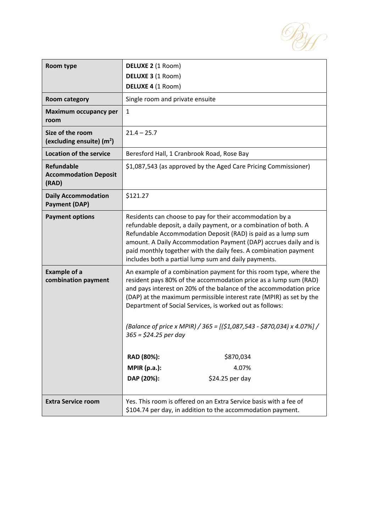

| Room type                                                  | DELUXE 2 (1 Room)                                                                                                                                                                                                                                                                                                                                                                                                                                                                   |  |  |
|------------------------------------------------------------|-------------------------------------------------------------------------------------------------------------------------------------------------------------------------------------------------------------------------------------------------------------------------------------------------------------------------------------------------------------------------------------------------------------------------------------------------------------------------------------|--|--|
|                                                            | DELUXE 3 (1 Room)<br>DELUXE 4 (1 Room)                                                                                                                                                                                                                                                                                                                                                                                                                                              |  |  |
| <b>Room category</b>                                       | Single room and private ensuite                                                                                                                                                                                                                                                                                                                                                                                                                                                     |  |  |
| <b>Maximum occupancy per</b><br>room                       | 1                                                                                                                                                                                                                                                                                                                                                                                                                                                                                   |  |  |
| Size of the room<br>(excluding ensuite) $(m2)$             | $21.4 - 25.7$                                                                                                                                                                                                                                                                                                                                                                                                                                                                       |  |  |
| <b>Location of the service</b>                             | Beresford Hall, 1 Cranbrook Road, Rose Bay                                                                                                                                                                                                                                                                                                                                                                                                                                          |  |  |
| <b>Refundable</b><br><b>Accommodation Deposit</b><br>(RAD) | \$1,087,543 (as approved by the Aged Care Pricing Commissioner)                                                                                                                                                                                                                                                                                                                                                                                                                     |  |  |
| <b>Daily Accommodation</b><br><b>Payment (DAP)</b>         | \$121.27                                                                                                                                                                                                                                                                                                                                                                                                                                                                            |  |  |
| <b>Payment options</b>                                     | Residents can choose to pay for their accommodation by a<br>refundable deposit, a daily payment, or a combination of both. A<br>Refundable Accommodation Deposit (RAD) is paid as a lump sum<br>amount. A Daily Accommodation Payment (DAP) accrues daily and is<br>paid monthly together with the daily fees. A combination payment<br>includes both a partial lump sum and daily payments.                                                                                        |  |  |
| <b>Example of a</b><br>combination payment                 | An example of a combination payment for this room type, where the<br>resident pays 80% of the accommodation price as a lump sum (RAD)<br>and pays interest on 20% of the balance of the accommodation price<br>(DAP) at the maximum permissible interest rate (MPIR) as set by the<br>Department of Social Services, is worked out as follows:<br>(Balance of price x MPIR) / 365 = $[($1,087,543 - $870,034) \times 4.07\%]/$<br>$365 = $24.25$ per day<br>RAD (80%):<br>\$870,034 |  |  |
|                                                            | <b>MPIR (p.a.):</b><br>4.07%                                                                                                                                                                                                                                                                                                                                                                                                                                                        |  |  |
|                                                            | DAP (20%):<br>\$24.25 per day                                                                                                                                                                                                                                                                                                                                                                                                                                                       |  |  |
| <b>Extra Service room</b>                                  | Yes. This room is offered on an Extra Service basis with a fee of<br>\$104.74 per day, in addition to the accommodation payment.                                                                                                                                                                                                                                                                                                                                                    |  |  |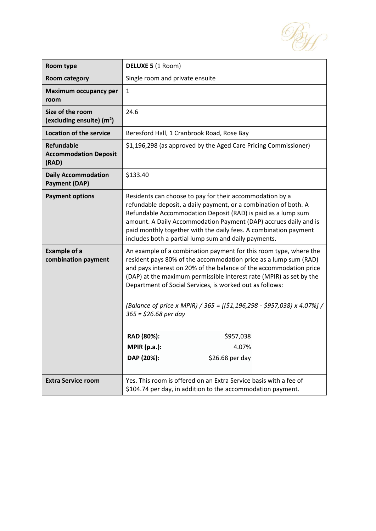By

| Room type                                                  | <b>DELUXE 5 (1 Room)</b>                                                                                                                                                                                                                                                                                                                                                                                                                            |  |
|------------------------------------------------------------|-----------------------------------------------------------------------------------------------------------------------------------------------------------------------------------------------------------------------------------------------------------------------------------------------------------------------------------------------------------------------------------------------------------------------------------------------------|--|
| <b>Room category</b>                                       | Single room and private ensuite                                                                                                                                                                                                                                                                                                                                                                                                                     |  |
| <b>Maximum occupancy per</b><br>room                       | $\mathbf{1}$                                                                                                                                                                                                                                                                                                                                                                                                                                        |  |
| Size of the room<br>(excluding ensuite) $(m2)$             | 24.6                                                                                                                                                                                                                                                                                                                                                                                                                                                |  |
| <b>Location of the service</b>                             | Beresford Hall, 1 Cranbrook Road, Rose Bay                                                                                                                                                                                                                                                                                                                                                                                                          |  |
| <b>Refundable</b><br><b>Accommodation Deposit</b><br>(RAD) | \$1,196,298 (as approved by the Aged Care Pricing Commissioner)                                                                                                                                                                                                                                                                                                                                                                                     |  |
| <b>Daily Accommodation</b><br><b>Payment (DAP)</b>         | \$133.40                                                                                                                                                                                                                                                                                                                                                                                                                                            |  |
| <b>Payment options</b>                                     | Residents can choose to pay for their accommodation by a<br>refundable deposit, a daily payment, or a combination of both. A<br>Refundable Accommodation Deposit (RAD) is paid as a lump sum<br>amount. A Daily Accommodation Payment (DAP) accrues daily and is<br>paid monthly together with the daily fees. A combination payment<br>includes both a partial lump sum and daily payments.                                                        |  |
| <b>Example of a</b><br>combination payment                 | An example of a combination payment for this room type, where the<br>resident pays 80% of the accommodation price as a lump sum (RAD)<br>and pays interest on 20% of the balance of the accommodation price<br>(DAP) at the maximum permissible interest rate (MPIR) as set by the<br>Department of Social Services, is worked out as follows:<br>(Balance of price x MPIR) / 365 = [(\$1,196,298 - \$957,038) x 4.07%] /<br>$365 = $26.68$ per day |  |
|                                                            | RAD (80%):<br>\$957,038                                                                                                                                                                                                                                                                                                                                                                                                                             |  |
|                                                            | MPIR(p.a.):<br>4.07%                                                                                                                                                                                                                                                                                                                                                                                                                                |  |
|                                                            | DAP (20%):<br>$$26.68$ per day                                                                                                                                                                                                                                                                                                                                                                                                                      |  |
| <b>Extra Service room</b>                                  | Yes. This room is offered on an Extra Service basis with a fee of<br>\$104.74 per day, in addition to the accommodation payment.                                                                                                                                                                                                                                                                                                                    |  |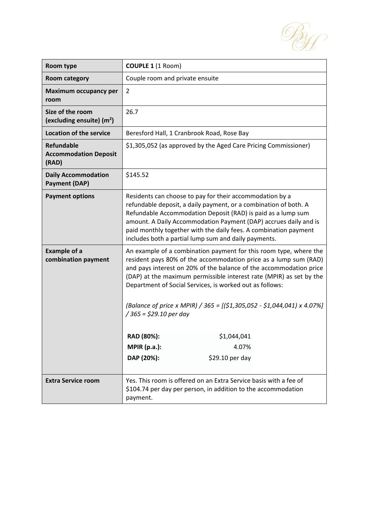

| Room type                                                  | <b>COUPLE 1 (1 Room)</b>                                                                                                                                                                                                                                                                                                                                                                                                                                                                                                                           |  |  |
|------------------------------------------------------------|----------------------------------------------------------------------------------------------------------------------------------------------------------------------------------------------------------------------------------------------------------------------------------------------------------------------------------------------------------------------------------------------------------------------------------------------------------------------------------------------------------------------------------------------------|--|--|
| <b>Room category</b>                                       | Couple room and private ensuite                                                                                                                                                                                                                                                                                                                                                                                                                                                                                                                    |  |  |
| Maximum occupancy per<br>room                              | $\overline{2}$                                                                                                                                                                                                                                                                                                                                                                                                                                                                                                                                     |  |  |
| Size of the room<br>(excluding ensuite) $(m2)$             | 26.7                                                                                                                                                                                                                                                                                                                                                                                                                                                                                                                                               |  |  |
| <b>Location of the service</b>                             | Beresford Hall, 1 Cranbrook Road, Rose Bay                                                                                                                                                                                                                                                                                                                                                                                                                                                                                                         |  |  |
| <b>Refundable</b><br><b>Accommodation Deposit</b><br>(RAD) | \$1,305,052 (as approved by the Aged Care Pricing Commissioner)                                                                                                                                                                                                                                                                                                                                                                                                                                                                                    |  |  |
| <b>Daily Accommodation</b><br><b>Payment (DAP)</b>         | \$145.52                                                                                                                                                                                                                                                                                                                                                                                                                                                                                                                                           |  |  |
| <b>Payment options</b>                                     | Residents can choose to pay for their accommodation by a<br>refundable deposit, a daily payment, or a combination of both. A<br>Refundable Accommodation Deposit (RAD) is paid as a lump sum<br>amount. A Daily Accommodation Payment (DAP) accrues daily and is<br>paid monthly together with the daily fees. A combination payment<br>includes both a partial lump sum and daily payments.                                                                                                                                                       |  |  |
| <b>Example of a</b><br>combination payment                 | An example of a combination payment for this room type, where the<br>resident pays 80% of the accommodation price as a lump sum (RAD)<br>and pays interest on 20% of the balance of the accommodation price<br>(DAP) at the maximum permissible interest rate (MPIR) as set by the<br>Department of Social Services, is worked out as follows:<br>(Balance of price x MPIR) / 365 = [(\$1,305,052 - \$1,044,041) x 4.07%]<br>$/365 = $29.10$ per day<br>RAD (80%):<br>\$1,044,041<br><b>MPIR (p.a.):</b><br>4.07%<br>DAP (20%):<br>\$29.10 per day |  |  |
| <b>Extra Service room</b>                                  | Yes. This room is offered on an Extra Service basis with a fee of<br>\$104.74 per day per person, in addition to the accommodation<br>payment.                                                                                                                                                                                                                                                                                                                                                                                                     |  |  |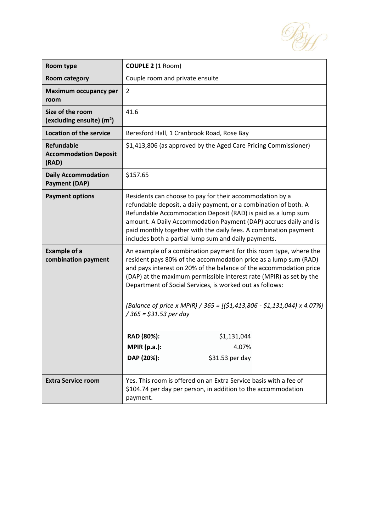By

| Room type                                                  | <b>COUPLE 2 (1 Room)</b>                                                                                                                                                                                                                                                                                                                                                                                                                                                                                                                           |  |
|------------------------------------------------------------|----------------------------------------------------------------------------------------------------------------------------------------------------------------------------------------------------------------------------------------------------------------------------------------------------------------------------------------------------------------------------------------------------------------------------------------------------------------------------------------------------------------------------------------------------|--|
| <b>Room category</b>                                       | Couple room and private ensuite                                                                                                                                                                                                                                                                                                                                                                                                                                                                                                                    |  |
| <b>Maximum occupancy per</b><br>room                       | $\overline{2}$                                                                                                                                                                                                                                                                                                                                                                                                                                                                                                                                     |  |
| Size of the room<br>(excluding ensuite) $(m2)$             | 41.6                                                                                                                                                                                                                                                                                                                                                                                                                                                                                                                                               |  |
| <b>Location of the service</b>                             | Beresford Hall, 1 Cranbrook Road, Rose Bay                                                                                                                                                                                                                                                                                                                                                                                                                                                                                                         |  |
| <b>Refundable</b><br><b>Accommodation Deposit</b><br>(RAD) | \$1,413,806 (as approved by the Aged Care Pricing Commissioner)                                                                                                                                                                                                                                                                                                                                                                                                                                                                                    |  |
| <b>Daily Accommodation</b><br><b>Payment (DAP)</b>         | \$157.65                                                                                                                                                                                                                                                                                                                                                                                                                                                                                                                                           |  |
| <b>Payment options</b>                                     | Residents can choose to pay for their accommodation by a<br>refundable deposit, a daily payment, or a combination of both. A<br>Refundable Accommodation Deposit (RAD) is paid as a lump sum<br>amount. A Daily Accommodation Payment (DAP) accrues daily and is<br>paid monthly together with the daily fees. A combination payment<br>includes both a partial lump sum and daily payments.                                                                                                                                                       |  |
| <b>Example of a</b><br>combination payment                 | An example of a combination payment for this room type, where the<br>resident pays 80% of the accommodation price as a lump sum (RAD)<br>and pays interest on 20% of the balance of the accommodation price<br>(DAP) at the maximum permissible interest rate (MPIR) as set by the<br>Department of Social Services, is worked out as follows:<br>(Balance of price x MPIR) / 365 = [(\$1,413,806 - \$1,131,044) x 4.07%]<br>$/365 = $31.53$ per day<br>RAD (80%):<br>\$1,131,044<br><b>MPIR (p.a.):</b><br>4.07%<br>DAP (20%):<br>\$31.53 per day |  |
| <b>Extra Service room</b>                                  | Yes. This room is offered on an Extra Service basis with a fee of<br>\$104.74 per day per person, in addition to the accommodation<br>payment.                                                                                                                                                                                                                                                                                                                                                                                                     |  |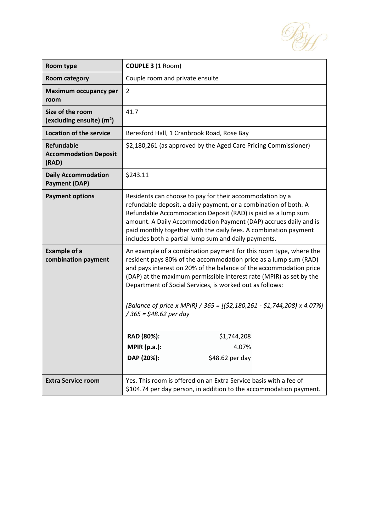By

| Room type                                                  | <b>COUPLE 3 (1 Room)</b>                                                                                                                                                                                                                                                                                                                                                                                                                             |  |  |
|------------------------------------------------------------|------------------------------------------------------------------------------------------------------------------------------------------------------------------------------------------------------------------------------------------------------------------------------------------------------------------------------------------------------------------------------------------------------------------------------------------------------|--|--|
| <b>Room category</b>                                       | Couple room and private ensuite                                                                                                                                                                                                                                                                                                                                                                                                                      |  |  |
| <b>Maximum occupancy per</b><br>room                       | $\overline{2}$                                                                                                                                                                                                                                                                                                                                                                                                                                       |  |  |
| Size of the room<br>(excluding ensuite) $(m2)$             | 41.7                                                                                                                                                                                                                                                                                                                                                                                                                                                 |  |  |
| <b>Location of the service</b>                             | Beresford Hall, 1 Cranbrook Road, Rose Bay                                                                                                                                                                                                                                                                                                                                                                                                           |  |  |
| <b>Refundable</b><br><b>Accommodation Deposit</b><br>(RAD) | \$2,180,261 (as approved by the Aged Care Pricing Commissioner)                                                                                                                                                                                                                                                                                                                                                                                      |  |  |
| <b>Daily Accommodation</b><br><b>Payment (DAP)</b>         | \$243.11                                                                                                                                                                                                                                                                                                                                                                                                                                             |  |  |
| <b>Payment options</b>                                     | Residents can choose to pay for their accommodation by a<br>refundable deposit, a daily payment, or a combination of both. A<br>Refundable Accommodation Deposit (RAD) is paid as a lump sum<br>amount. A Daily Accommodation Payment (DAP) accrues daily and is<br>paid monthly together with the daily fees. A combination payment<br>includes both a partial lump sum and daily payments.                                                         |  |  |
| <b>Example of a</b><br>combination payment                 | An example of a combination payment for this room type, where the<br>resident pays 80% of the accommodation price as a lump sum (RAD)<br>and pays interest on 20% of the balance of the accommodation price<br>(DAP) at the maximum permissible interest rate (MPIR) as set by the<br>Department of Social Services, is worked out as follows:<br>(Balance of price x MPIR) / 365 = [(\$2,180,261 - \$1,744,208) x 4.07%]<br>/ 365 = \$48.62 per day |  |  |
|                                                            | RAD (80%):<br>\$1,744,208                                                                                                                                                                                                                                                                                                                                                                                                                            |  |  |
|                                                            | <b>MPIR (p.a.):</b><br>4.07%                                                                                                                                                                                                                                                                                                                                                                                                                         |  |  |
|                                                            | DAP (20%):<br>\$48.62 per day                                                                                                                                                                                                                                                                                                                                                                                                                        |  |  |
| <b>Extra Service room</b>                                  | Yes. This room is offered on an Extra Service basis with a fee of<br>\$104.74 per day person, in addition to the accommodation payment.                                                                                                                                                                                                                                                                                                              |  |  |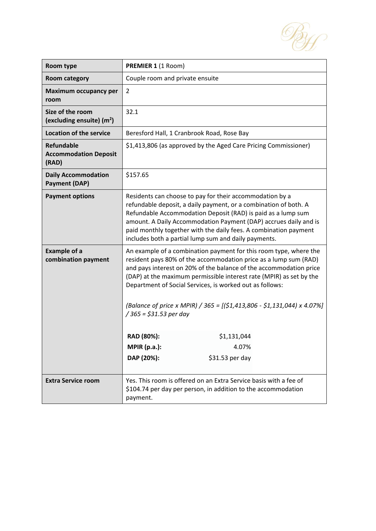By

| Room type                                                  | PREMIER 1 (1 Room)                                                                                                                                                                                                                                                                                                                                                                                                                                                                                                                                  |  |
|------------------------------------------------------------|-----------------------------------------------------------------------------------------------------------------------------------------------------------------------------------------------------------------------------------------------------------------------------------------------------------------------------------------------------------------------------------------------------------------------------------------------------------------------------------------------------------------------------------------------------|--|
| <b>Room category</b>                                       | Couple room and private ensuite                                                                                                                                                                                                                                                                                                                                                                                                                                                                                                                     |  |
| Maximum occupancy per<br>room                              | $\overline{2}$                                                                                                                                                                                                                                                                                                                                                                                                                                                                                                                                      |  |
| Size of the room<br>(excluding ensuite) $(m2)$             | 32.1                                                                                                                                                                                                                                                                                                                                                                                                                                                                                                                                                |  |
| <b>Location of the service</b>                             | Beresford Hall, 1 Cranbrook Road, Rose Bay                                                                                                                                                                                                                                                                                                                                                                                                                                                                                                          |  |
| <b>Refundable</b><br><b>Accommodation Deposit</b><br>(RAD) | \$1,413,806 (as approved by the Aged Care Pricing Commissioner)                                                                                                                                                                                                                                                                                                                                                                                                                                                                                     |  |
| <b>Daily Accommodation</b><br><b>Payment (DAP)</b>         | \$157.65                                                                                                                                                                                                                                                                                                                                                                                                                                                                                                                                            |  |
| <b>Payment options</b>                                     | Residents can choose to pay for their accommodation by a<br>refundable deposit, a daily payment, or a combination of both. A<br>Refundable Accommodation Deposit (RAD) is paid as a lump sum<br>amount. A Daily Accommodation Payment (DAP) accrues daily and is<br>paid monthly together with the daily fees. A combination payment<br>includes both a partial lump sum and daily payments.                                                                                                                                                        |  |
| <b>Example of a</b><br>combination payment                 | An example of a combination payment for this room type, where the<br>resident pays 80% of the accommodation price as a lump sum (RAD)<br>and pays interest on 20% of the balance of the accommodation price<br>(DAP) at the maximum permissible interest rate (MPIR) as set by the<br>Department of Social Services, is worked out as follows:<br>(Balance of price x MPIR) / 365 = [(\$1,413,806 - \$1,131,044) x 4.07%]<br>$/365 = $31.53$ per day<br>\$1,131,044<br>RAD (80%):<br><b>MPIR (p.a.):</b><br>4.07%<br>DAP (20%):<br>$$31.53$ per day |  |
| <b>Extra Service room</b>                                  | Yes. This room is offered on an Extra Service basis with a fee of<br>\$104.74 per day per person, in addition to the accommodation<br>payment.                                                                                                                                                                                                                                                                                                                                                                                                      |  |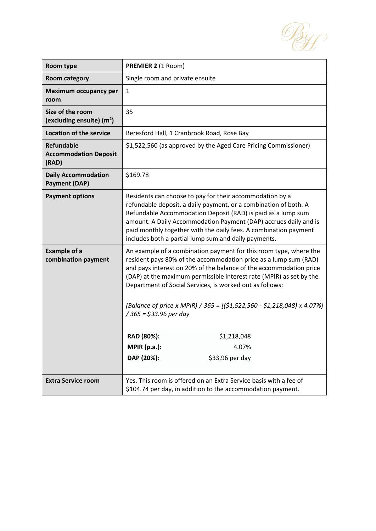By

| Room type                                                  | PREMIER 2 (1 Room)                                                                                                                                                                                                                                                                                                                                                                                                                                   |  |
|------------------------------------------------------------|------------------------------------------------------------------------------------------------------------------------------------------------------------------------------------------------------------------------------------------------------------------------------------------------------------------------------------------------------------------------------------------------------------------------------------------------------|--|
| <b>Room category</b>                                       | Single room and private ensuite                                                                                                                                                                                                                                                                                                                                                                                                                      |  |
| <b>Maximum occupancy per</b><br>room                       | $\mathbf{1}$                                                                                                                                                                                                                                                                                                                                                                                                                                         |  |
| Size of the room<br>(excluding ensuite) $(m2)$             | 35                                                                                                                                                                                                                                                                                                                                                                                                                                                   |  |
| <b>Location of the service</b>                             | Beresford Hall, 1 Cranbrook Road, Rose Bay                                                                                                                                                                                                                                                                                                                                                                                                           |  |
| <b>Refundable</b><br><b>Accommodation Deposit</b><br>(RAD) | \$1,522,560 (as approved by the Aged Care Pricing Commissioner)                                                                                                                                                                                                                                                                                                                                                                                      |  |
| <b>Daily Accommodation</b><br><b>Payment (DAP)</b>         | \$169.78                                                                                                                                                                                                                                                                                                                                                                                                                                             |  |
| <b>Payment options</b>                                     | Residents can choose to pay for their accommodation by a<br>refundable deposit, a daily payment, or a combination of both. A<br>Refundable Accommodation Deposit (RAD) is paid as a lump sum<br>amount. A Daily Accommodation Payment (DAP) accrues daily and is<br>paid monthly together with the daily fees. A combination payment<br>includes both a partial lump sum and daily payments.                                                         |  |
| <b>Example of a</b><br>combination payment                 | An example of a combination payment for this room type, where the<br>resident pays 80% of the accommodation price as a lump sum (RAD)<br>and pays interest on 20% of the balance of the accommodation price<br>(DAP) at the maximum permissible interest rate (MPIR) as set by the<br>Department of Social Services, is worked out as follows:<br>(Balance of price x MPIR) / 365 = [(\$1,522,560 - \$1,218,048) x 4.07%]<br>/ 365 = \$33.96 per day |  |
|                                                            | RAD (80%):<br>\$1,218,048                                                                                                                                                                                                                                                                                                                                                                                                                            |  |
|                                                            | <b>MPIR (p.a.):</b><br>4.07%                                                                                                                                                                                                                                                                                                                                                                                                                         |  |
|                                                            | DAP (20%):<br>\$33.96 per day                                                                                                                                                                                                                                                                                                                                                                                                                        |  |
| <b>Extra Service room</b>                                  | Yes. This room is offered on an Extra Service basis with a fee of<br>\$104.74 per day, in addition to the accommodation payment.                                                                                                                                                                                                                                                                                                                     |  |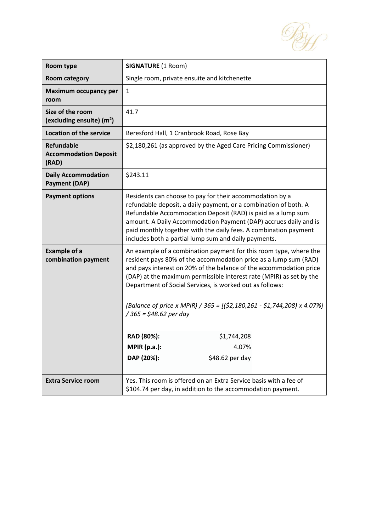

| Room type                                                  | <b>SIGNATURE (1 Room)</b>                                                                                                                                                                                                                                                                                                                                                                                                                             |  |
|------------------------------------------------------------|-------------------------------------------------------------------------------------------------------------------------------------------------------------------------------------------------------------------------------------------------------------------------------------------------------------------------------------------------------------------------------------------------------------------------------------------------------|--|
| <b>Room category</b>                                       | Single room, private ensuite and kitchenette                                                                                                                                                                                                                                                                                                                                                                                                          |  |
| Maximum occupancy per<br>room                              | 1                                                                                                                                                                                                                                                                                                                                                                                                                                                     |  |
| Size of the room<br>(excluding ensuite) $(m2)$             | 41.7                                                                                                                                                                                                                                                                                                                                                                                                                                                  |  |
| <b>Location of the service</b>                             | Beresford Hall, 1 Cranbrook Road, Rose Bay                                                                                                                                                                                                                                                                                                                                                                                                            |  |
| <b>Refundable</b><br><b>Accommodation Deposit</b><br>(RAD) | \$2,180,261 (as approved by the Aged Care Pricing Commissioner)                                                                                                                                                                                                                                                                                                                                                                                       |  |
| <b>Daily Accommodation</b><br><b>Payment (DAP)</b>         | \$243.11                                                                                                                                                                                                                                                                                                                                                                                                                                              |  |
| <b>Payment options</b>                                     | Residents can choose to pay for their accommodation by a<br>refundable deposit, a daily payment, or a combination of both. A<br>Refundable Accommodation Deposit (RAD) is paid as a lump sum<br>amount. A Daily Accommodation Payment (DAP) accrues daily and is<br>paid monthly together with the daily fees. A combination payment<br>includes both a partial lump sum and daily payments.                                                          |  |
| <b>Example of a</b><br>combination payment                 | An example of a combination payment for this room type, where the<br>resident pays 80% of the accommodation price as a lump sum (RAD)<br>and pays interest on 20% of the balance of the accommodation price<br>(DAP) at the maximum permissible interest rate (MPIR) as set by the<br>Department of Social Services, is worked out as follows:<br>(Balance of price x MPIR) / 365 = [(\$2,180,261 - \$1,744,208) x 4.07%]<br>$/365$ = \$48.62 per day |  |
|                                                            | RAD (80%):<br>\$1,744,208                                                                                                                                                                                                                                                                                                                                                                                                                             |  |
|                                                            | <b>MPIR (p.a.):</b><br>4.07%<br>DAP (20%):<br>\$48.62 per day                                                                                                                                                                                                                                                                                                                                                                                         |  |
|                                                            |                                                                                                                                                                                                                                                                                                                                                                                                                                                       |  |
| <b>Extra Service room</b>                                  | Yes. This room is offered on an Extra Service basis with a fee of<br>\$104.74 per day, in addition to the accommodation payment.                                                                                                                                                                                                                                                                                                                      |  |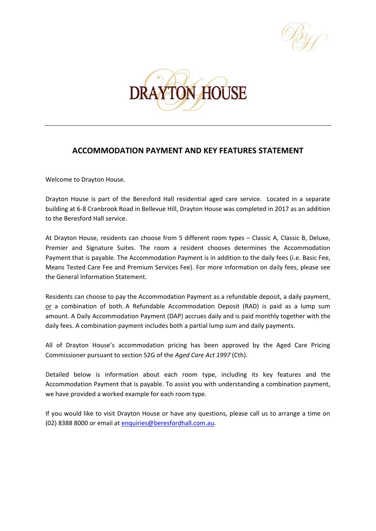



# **ACCOMMODATION PAYMENT AND KEY FEATURES STATEMENT**

Welcome to Drayton House.

Drayton House is part of the Beresford Hall residential aged care service. Located in a separate building at 6-8 Cranbrook Road in Bellevue Hill, Drayton House was completed in 2017 as an addition to the Beresford Hall service.

At Drayton House, residents can choose from 5 different room types – Classic A, Classic B, Deluxe, Premier and Signature Suites. The room a resident chooses determines the Accommodation Payment that is payable. The Accommodation Payment is in addition to the daily fees (i.e. Basic Fee, Means Tested Care Fee and Premium Services Fee). For more information on daily fees, please see the General Information Statement.

Residents can choose to pay the Accommodation Payment as a refundable deposit, a daily payment, or a combination of both. A Refundable Accommodation Deposit (RAD) is paid as a lump sum amount. A Daily Accommodation Payment (DAP) accrues daily and is paid monthly together with the daily fees. A combination payment includes both a partial lump sum and daily payments.

All of Drayton House's accommodation pricing has been approved by the Aged Care Pricing Commissioner pursuant to section 52G of the *Aged Care Act 1997* (Cth).

Detailed below is information about each room type, including its key features and the Accommodation Payment that is payable. To assist you with understanding a combination payment, we have provided a worked example for each room type.

If you would like to visit Drayton House or have any questions, please call us to arrange a time on (02) 8388 8000 or email at [enquiries@beresfordhall.com.au.](mailto:enquiries@beresfordhall.com.au)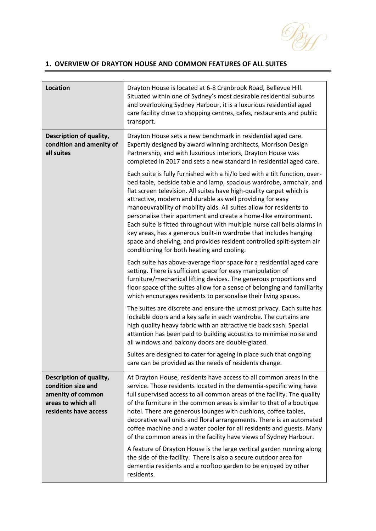

### **1. OVERVIEW OF DRAYTON HOUSE AND COMMON FEATURES OF ALL SUITES**

| <b>Location</b>                                                                                                   | Drayton House is located at 6-8 Cranbrook Road, Bellevue Hill.<br>Situated within one of Sydney's most desirable residential suburbs<br>and overlooking Sydney Harbour, it is a luxurious residential aged<br>care facility close to shopping centres, cafes, restaurants and public<br>transport.                                                                                                                                                                                                                                                                                                                                                                                                       |
|-------------------------------------------------------------------------------------------------------------------|----------------------------------------------------------------------------------------------------------------------------------------------------------------------------------------------------------------------------------------------------------------------------------------------------------------------------------------------------------------------------------------------------------------------------------------------------------------------------------------------------------------------------------------------------------------------------------------------------------------------------------------------------------------------------------------------------------|
| Description of quality,<br>condition and amenity of<br>all suites                                                 | Drayton House sets a new benchmark in residential aged care.<br>Expertly designed by award winning architects, Morrison Design<br>Partnership, and with luxurious interiors, Drayton House was<br>completed in 2017 and sets a new standard in residential aged care.                                                                                                                                                                                                                                                                                                                                                                                                                                    |
|                                                                                                                   | Each suite is fully furnished with a hi/lo bed with a tilt function, over-<br>bed table, bedside table and lamp, spacious wardrobe, armchair, and<br>flat screen television. All suites have high-quality carpet which is<br>attractive, modern and durable as well providing for easy<br>manoeuvrability of mobility aids. All suites allow for residents to<br>personalise their apartment and create a home-like environment.<br>Each suite is fitted throughout with multiple nurse call bells alarms in<br>key areas, has a generous built-in wardrobe that includes hanging<br>space and shelving, and provides resident controlled split-system air<br>conditioning for both heating and cooling. |
|                                                                                                                   | Each suite has above-average floor space for a residential aged care<br>setting. There is sufficient space for easy manipulation of<br>furniture/mechanical lifting devices. The generous proportions and<br>floor space of the suites allow for a sense of belonging and familiarity<br>which encourages residents to personalise their living spaces.                                                                                                                                                                                                                                                                                                                                                  |
|                                                                                                                   | The suites are discrete and ensure the utmost privacy. Each suite has<br>lockable doors and a key safe in each wardrobe. The curtains are<br>high quality heavy fabric with an attractive tie back sash. Special<br>attention has been paid to building acoustics to minimise noise and<br>all windows and balcony doors are double-glazed.                                                                                                                                                                                                                                                                                                                                                              |
|                                                                                                                   | Suites are designed to cater for ageing in place such that ongoing<br>care can be provided as the needs of residents change.                                                                                                                                                                                                                                                                                                                                                                                                                                                                                                                                                                             |
| Description of quality,<br>condition size and<br>amenity of common<br>areas to which all<br>residents have access | At Drayton House, residents have access to all common areas in the<br>service. Those residents located in the dementia-specific wing have<br>full supervised access to all common areas of the facility. The quality<br>of the furniture in the common areas is similar to that of a boutique<br>hotel. There are generous lounges with cushions, coffee tables,<br>decorative wall units and floral arrangements. There is an automated<br>coffee machine and a water cooler for all residents and guests. Many<br>of the common areas in the facility have views of Sydney Harbour.                                                                                                                    |
|                                                                                                                   | A feature of Drayton House is the large vertical garden running along<br>the side of the facility. There is also a secure outdoor area for<br>dementia residents and a rooftop garden to be enjoyed by other<br>residents.                                                                                                                                                                                                                                                                                                                                                                                                                                                                               |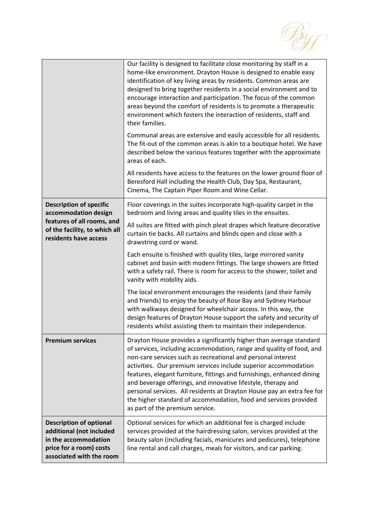

|                                                                                                                                                | Our facility is designed to facilitate close monitoring by staff in a<br>home-like environment. Drayton House is designed to enable easy<br>identification of key living areas by residents. Common areas are<br>designed to bring together residents in a social environment and to<br>encourage interaction and participation. The focus of the common<br>areas beyond the comfort of residents is to promote a therapeutic<br>environment which fosters the interaction of residents, staff and<br>their families.<br>Communal areas are extensive and easily accessible for all residents.<br>The fit-out of the common areas is akin to a boutique hotel. We have<br>described below the various features together with the approximate<br>areas of each.<br>All residents have access to the features on the lower ground floor of<br>Beresford Hall including the Health Club, Day Spa, Restaurant, |
|------------------------------------------------------------------------------------------------------------------------------------------------|------------------------------------------------------------------------------------------------------------------------------------------------------------------------------------------------------------------------------------------------------------------------------------------------------------------------------------------------------------------------------------------------------------------------------------------------------------------------------------------------------------------------------------------------------------------------------------------------------------------------------------------------------------------------------------------------------------------------------------------------------------------------------------------------------------------------------------------------------------------------------------------------------------|
|                                                                                                                                                | Cinema, The Captain Piper Room and Wine Cellar.<br>Floor coverings in the suites incorporate high-quality carpet in the                                                                                                                                                                                                                                                                                                                                                                                                                                                                                                                                                                                                                                                                                                                                                                                    |
| <b>Description of specific</b><br>accommodation design<br>features of all rooms, and<br>of the facility, to which all<br>residents have access | bedroom and living areas and quality tiles in the ensuites.                                                                                                                                                                                                                                                                                                                                                                                                                                                                                                                                                                                                                                                                                                                                                                                                                                                |
|                                                                                                                                                | All suites are fitted with pinch pleat drapes which feature decorative<br>curtain tie backs. All curtains and blinds open and close with a<br>drawstring cord or wand.                                                                                                                                                                                                                                                                                                                                                                                                                                                                                                                                                                                                                                                                                                                                     |
|                                                                                                                                                | Each ensuite is finished with quality tiles, large mirrored vanity<br>cabinet and basin with modern fittings. The large showers are fitted<br>with a safety rail. There is room for access to the shower, toilet and<br>vanity with mobility aids.                                                                                                                                                                                                                                                                                                                                                                                                                                                                                                                                                                                                                                                         |
|                                                                                                                                                | The local environment encourages the residents (and their family<br>and friends) to enjoy the beauty of Rose Bay and Sydney Harbour<br>with walkways designed for wheelchair access. In this way, the<br>design features of Drayton House support the safety and security of<br>residents whilst assisting them to maintain their independence.                                                                                                                                                                                                                                                                                                                                                                                                                                                                                                                                                            |
| <b>Premium services</b>                                                                                                                        | Drayton House provides a significantly higher than average standard<br>of services, including accommodation, range and quality of food, and<br>non-care services such as recreational and personal interest<br>activities. Our premium services include superior accommodation<br>features, elegant furniture, fittings and furnishings, enhanced dining<br>and beverage offerings, and innovative lifestyle, therapy and<br>personal services. All residents at Drayton House pay an extra fee for<br>the higher standard of accommodation, food and services provided<br>as part of the premium service.                                                                                                                                                                                                                                                                                                 |
| <b>Description of optional</b><br>additional (not included<br>in the accommodation<br>price for a room) costs<br>associated with the room      | Optional services for which an additional fee is charged include<br>services provided at the hairdressing salon, services provided at the<br>beauty salon (including facials, manicures and pedicures), telephone<br>line rental and call charges, meals for visitors, and car parking.                                                                                                                                                                                                                                                                                                                                                                                                                                                                                                                                                                                                                    |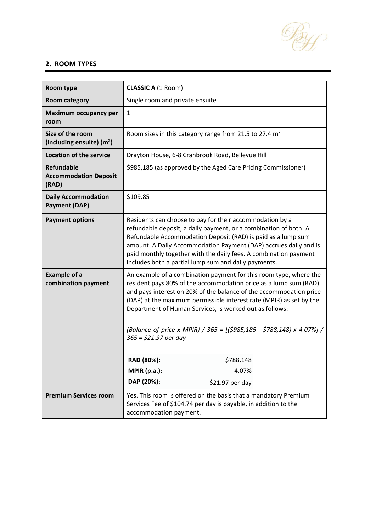

### **2. ROOM TYPES**

| Room type                                                  | <b>CLASSIC A (1 Room)</b>                                                                                                                                                                                                                                                                                                                                                                                                                        |  |
|------------------------------------------------------------|--------------------------------------------------------------------------------------------------------------------------------------------------------------------------------------------------------------------------------------------------------------------------------------------------------------------------------------------------------------------------------------------------------------------------------------------------|--|
| <b>Room category</b>                                       | Single room and private ensuite                                                                                                                                                                                                                                                                                                                                                                                                                  |  |
| <b>Maximum occupancy per</b><br>room                       | $\mathbf{1}$                                                                                                                                                                                                                                                                                                                                                                                                                                     |  |
| Size of the room<br>(including ensuite) $(m2)$             | Room sizes in this category range from 21.5 to 27.4 $m2$                                                                                                                                                                                                                                                                                                                                                                                         |  |
| <b>Location of the service</b>                             | Drayton House, 6-8 Cranbrook Road, Bellevue Hill                                                                                                                                                                                                                                                                                                                                                                                                 |  |
| <b>Refundable</b><br><b>Accommodation Deposit</b><br>(RAD) | \$985,185 (as approved by the Aged Care Pricing Commissioner)                                                                                                                                                                                                                                                                                                                                                                                    |  |
| <b>Daily Accommodation</b><br><b>Payment (DAP)</b>         | \$109.85                                                                                                                                                                                                                                                                                                                                                                                                                                         |  |
| <b>Payment options</b>                                     | Residents can choose to pay for their accommodation by a<br>refundable deposit, a daily payment, or a combination of both. A<br>Refundable Accommodation Deposit (RAD) is paid as a lump sum<br>amount. A Daily Accommodation Payment (DAP) accrues daily and is<br>paid monthly together with the daily fees. A combination payment<br>includes both a partial lump sum and daily payments.                                                     |  |
| <b>Example of a</b><br>combination payment                 | An example of a combination payment for this room type, where the<br>resident pays 80% of the accommodation price as a lump sum (RAD)<br>and pays interest on 20% of the balance of the accommodation price<br>(DAP) at the maximum permissible interest rate (MPIR) as set by the<br>Department of Human Services, is worked out as follows:<br>(Balance of price x MPIR) / 365 = [(\$985,185 - \$788,148) x 4.07%] /<br>$365 = $21.97$ per day |  |
|                                                            | RAD (80%):<br>\$788,148                                                                                                                                                                                                                                                                                                                                                                                                                          |  |
|                                                            | <b>MPIR (p.a.):</b><br>4.07%                                                                                                                                                                                                                                                                                                                                                                                                                     |  |
|                                                            | DAP (20%):<br>\$21.97 per day                                                                                                                                                                                                                                                                                                                                                                                                                    |  |
| <b>Premium Services room</b>                               | Yes. This room is offered on the basis that a mandatory Premium<br>Services Fee of \$104.74 per day is payable, in addition to the<br>accommodation payment.                                                                                                                                                                                                                                                                                     |  |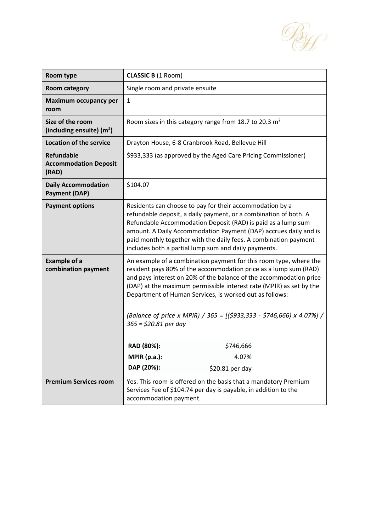

| Room type                                                  | <b>CLASSIC B (1 Room)</b>                                                                                                                                                                                                                                                                                                                                                                                                                        |  |
|------------------------------------------------------------|--------------------------------------------------------------------------------------------------------------------------------------------------------------------------------------------------------------------------------------------------------------------------------------------------------------------------------------------------------------------------------------------------------------------------------------------------|--|
| Room category                                              | Single room and private ensuite                                                                                                                                                                                                                                                                                                                                                                                                                  |  |
| Maximum occupancy per<br>room                              | $\mathbf{1}$                                                                                                                                                                                                                                                                                                                                                                                                                                     |  |
| Size of the room<br>(including ensuite) $(m2)$             | Room sizes in this category range from 18.7 to 20.3 $m2$                                                                                                                                                                                                                                                                                                                                                                                         |  |
| <b>Location of the service</b>                             | Drayton House, 6-8 Cranbrook Road, Bellevue Hill                                                                                                                                                                                                                                                                                                                                                                                                 |  |
| <b>Refundable</b><br><b>Accommodation Deposit</b><br>(RAD) | \$933,333 (as approved by the Aged Care Pricing Commissioner)                                                                                                                                                                                                                                                                                                                                                                                    |  |
| <b>Daily Accommodation</b><br><b>Payment (DAP)</b>         | \$104.07                                                                                                                                                                                                                                                                                                                                                                                                                                         |  |
| <b>Payment options</b>                                     | Residents can choose to pay for their accommodation by a<br>refundable deposit, a daily payment, or a combination of both. A<br>Refundable Accommodation Deposit (RAD) is paid as a lump sum<br>amount. A Daily Accommodation Payment (DAP) accrues daily and is<br>paid monthly together with the daily fees. A combination payment<br>includes both a partial lump sum and daily payments.                                                     |  |
| <b>Example of a</b><br>combination payment                 | An example of a combination payment for this room type, where the<br>resident pays 80% of the accommodation price as a lump sum (RAD)<br>and pays interest on 20% of the balance of the accommodation price<br>(DAP) at the maximum permissible interest rate (MPIR) as set by the<br>Department of Human Services, is worked out as follows:<br>(Balance of price x MPIR) / 365 = [(\$933,333 - \$746,666) x 4.07%] /<br>$365 = $20.81$ per day |  |
|                                                            | RAD (80%):<br>\$746,666                                                                                                                                                                                                                                                                                                                                                                                                                          |  |
|                                                            | <b>MPIR (p.a.):</b><br>4.07%                                                                                                                                                                                                                                                                                                                                                                                                                     |  |
|                                                            | DAP (20%):<br>\$20.81 per day                                                                                                                                                                                                                                                                                                                                                                                                                    |  |
| <b>Premium Services room</b>                               | Yes. This room is offered on the basis that a mandatory Premium<br>Services Fee of \$104.74 per day is payable, in addition to the<br>accommodation payment.                                                                                                                                                                                                                                                                                     |  |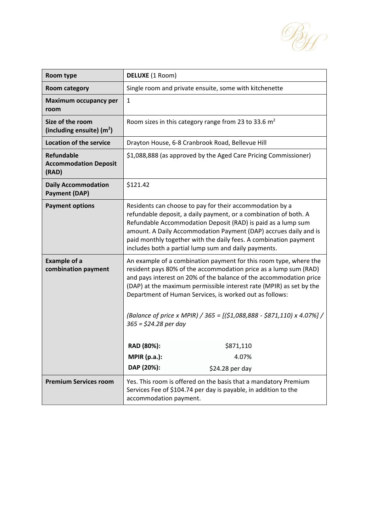

| Room type                                                  | DELUXE (1 Room)                                                                                                                                                                                                                                                                                                                                                                                                                                    |  |
|------------------------------------------------------------|----------------------------------------------------------------------------------------------------------------------------------------------------------------------------------------------------------------------------------------------------------------------------------------------------------------------------------------------------------------------------------------------------------------------------------------------------|--|
| <b>Room category</b>                                       | Single room and private ensuite, some with kitchenette                                                                                                                                                                                                                                                                                                                                                                                             |  |
| <b>Maximum occupancy per</b><br>room                       | $\mathbf{1}$                                                                                                                                                                                                                                                                                                                                                                                                                                       |  |
| Size of the room<br>(including ensuite) $(m2)$             | Room sizes in this category range from 23 to 33.6 $m2$                                                                                                                                                                                                                                                                                                                                                                                             |  |
| <b>Location of the service</b>                             | Drayton House, 6-8 Cranbrook Road, Bellevue Hill                                                                                                                                                                                                                                                                                                                                                                                                   |  |
| <b>Refundable</b><br><b>Accommodation Deposit</b><br>(RAD) | \$1,088,888 (as approved by the Aged Care Pricing Commissioner)                                                                                                                                                                                                                                                                                                                                                                                    |  |
| <b>Daily Accommodation</b><br><b>Payment (DAP)</b>         | \$121.42                                                                                                                                                                                                                                                                                                                                                                                                                                           |  |
| <b>Payment options</b>                                     | Residents can choose to pay for their accommodation by a<br>refundable deposit, a daily payment, or a combination of both. A<br>Refundable Accommodation Deposit (RAD) is paid as a lump sum<br>amount. A Daily Accommodation Payment (DAP) accrues daily and is<br>paid monthly together with the daily fees. A combination payment<br>includes both a partial lump sum and daily payments.                                                       |  |
| <b>Example of a</b><br>combination payment                 | An example of a combination payment for this room type, where the<br>resident pays 80% of the accommodation price as a lump sum (RAD)<br>and pays interest on 20% of the balance of the accommodation price<br>(DAP) at the maximum permissible interest rate (MPIR) as set by the<br>Department of Human Services, is worked out as follows:<br>(Balance of price x MPIR) / 365 = [(\$1,088,888 - \$871,110) x 4.07%] /<br>$365 = $24.28$ per day |  |
|                                                            | RAD (80%):<br>\$871,110                                                                                                                                                                                                                                                                                                                                                                                                                            |  |
|                                                            | <b>MPIR (p.a.):</b><br>4.07%                                                                                                                                                                                                                                                                                                                                                                                                                       |  |
|                                                            | DAP (20%):<br>\$24.28 per day                                                                                                                                                                                                                                                                                                                                                                                                                      |  |
| <b>Premium Services room</b>                               | Yes. This room is offered on the basis that a mandatory Premium<br>Services Fee of \$104.74 per day is payable, in addition to the<br>accommodation payment.                                                                                                                                                                                                                                                                                       |  |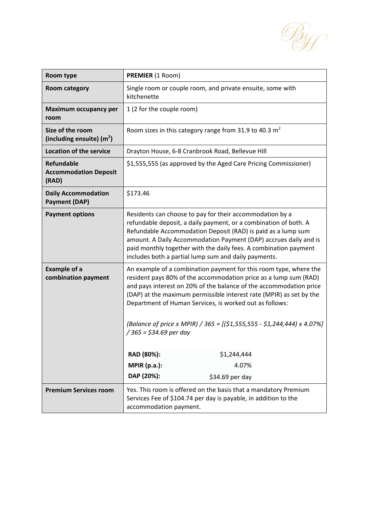

| Room type                                                  | <b>PREMIER (1 Room)</b>                                                                                                                                                                                                                                                                                                                                                                                                                                   |  |
|------------------------------------------------------------|-----------------------------------------------------------------------------------------------------------------------------------------------------------------------------------------------------------------------------------------------------------------------------------------------------------------------------------------------------------------------------------------------------------------------------------------------------------|--|
| <b>Room category</b>                                       | Single room or couple room, and private ensuite, some with<br>kitchenette                                                                                                                                                                                                                                                                                                                                                                                 |  |
| <b>Maximum occupancy per</b><br>room                       | 1 (2 for the couple room)                                                                                                                                                                                                                                                                                                                                                                                                                                 |  |
| Size of the room<br>(including ensuite) $(m2)$             | Room sizes in this category range from 31.9 to 40.3 $m2$                                                                                                                                                                                                                                                                                                                                                                                                  |  |
| <b>Location of the service</b>                             | Drayton House, 6-8 Cranbrook Road, Bellevue Hill                                                                                                                                                                                                                                                                                                                                                                                                          |  |
| <b>Refundable</b><br><b>Accommodation Deposit</b><br>(RAD) | \$1,555,555 (as approved by the Aged Care Pricing Commissioner)                                                                                                                                                                                                                                                                                                                                                                                           |  |
| <b>Daily Accommodation</b><br><b>Payment (DAP)</b>         | \$173.46                                                                                                                                                                                                                                                                                                                                                                                                                                                  |  |
| <b>Payment options</b>                                     | Residents can choose to pay for their accommodation by a<br>refundable deposit, a daily payment, or a combination of both. A<br>Refundable Accommodation Deposit (RAD) is paid as a lump sum<br>amount. A Daily Accommodation Payment (DAP) accrues daily and is<br>paid monthly together with the daily fees. A combination payment<br>includes both a partial lump sum and daily payments.                                                              |  |
| <b>Example of a</b><br>combination payment                 | An example of a combination payment for this room type, where the<br>resident pays 80% of the accommodation price as a lump sum (RAD)<br>and pays interest on 20% of the balance of the accommodation price<br>(DAP) at the maximum permissible interest rate (MPIR) as set by the<br>Department of Human Services, is worked out as follows:<br>(Balance of price x MPIR) / 365 = $[($1,555,555 - $1,244,444) \times 4.07\%]$<br>/ 365 = \$34.69 per day |  |
|                                                            | \$1,244,444<br>RAD (80%):<br><b>MPIR (p.a.):</b><br>4.07%                                                                                                                                                                                                                                                                                                                                                                                                 |  |
|                                                            | DAP (20%):<br>\$34.69 per day                                                                                                                                                                                                                                                                                                                                                                                                                             |  |
| <b>Premium Services room</b>                               |                                                                                                                                                                                                                                                                                                                                                                                                                                                           |  |
|                                                            | Yes. This room is offered on the basis that a mandatory Premium<br>Services Fee of \$104.74 per day is payable, in addition to the<br>accommodation payment.                                                                                                                                                                                                                                                                                              |  |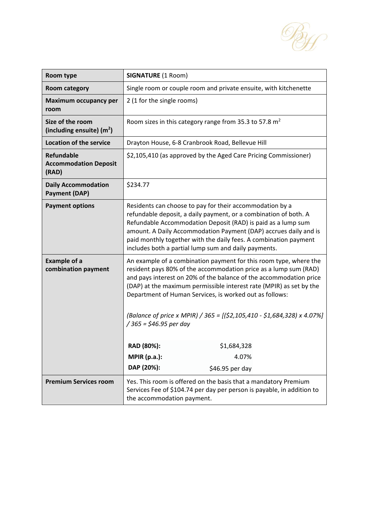

| Room type                                                  | <b>SIGNATURE (1 Room)</b>                                                                                                                                                                                                                                                                                                                                                                                                                           |  |
|------------------------------------------------------------|-----------------------------------------------------------------------------------------------------------------------------------------------------------------------------------------------------------------------------------------------------------------------------------------------------------------------------------------------------------------------------------------------------------------------------------------------------|--|
| <b>Room category</b>                                       | Single room or couple room and private ensuite, with kitchenette                                                                                                                                                                                                                                                                                                                                                                                    |  |
| Maximum occupancy per<br>room                              | 2 (1 for the single rooms)                                                                                                                                                                                                                                                                                                                                                                                                                          |  |
| Size of the room<br>(including ensuite) $(m2)$             | Room sizes in this category range from 35.3 to 57.8 $m2$                                                                                                                                                                                                                                                                                                                                                                                            |  |
| <b>Location of the service</b>                             | Drayton House, 6-8 Cranbrook Road, Bellevue Hill                                                                                                                                                                                                                                                                                                                                                                                                    |  |
| <b>Refundable</b><br><b>Accommodation Deposit</b><br>(RAD) | \$2,105,410 (as approved by the Aged Care Pricing Commissioner)                                                                                                                                                                                                                                                                                                                                                                                     |  |
| <b>Daily Accommodation</b><br><b>Payment (DAP)</b>         | \$234.77                                                                                                                                                                                                                                                                                                                                                                                                                                            |  |
| <b>Payment options</b>                                     | Residents can choose to pay for their accommodation by a<br>refundable deposit, a daily payment, or a combination of both. A<br>Refundable Accommodation Deposit (RAD) is paid as a lump sum<br>amount. A Daily Accommodation Payment (DAP) accrues daily and is<br>paid monthly together with the daily fees. A combination payment<br>includes both a partial lump sum and daily payments.                                                        |  |
| <b>Example of a</b><br>combination payment                 | An example of a combination payment for this room type, where the<br>resident pays 80% of the accommodation price as a lump sum (RAD)<br>and pays interest on 20% of the balance of the accommodation price<br>(DAP) at the maximum permissible interest rate (MPIR) as set by the<br>Department of Human Services, is worked out as follows:<br>(Balance of price x MPIR) / 365 = [(\$2,105,410 - \$1,684,328) x 4.07%]<br>/ 365 = \$46.95 per day |  |
|                                                            | RAD (80%):<br>\$1,684,328                                                                                                                                                                                                                                                                                                                                                                                                                           |  |
|                                                            | <b>MPIR (p.a.):</b><br>4.07%                                                                                                                                                                                                                                                                                                                                                                                                                        |  |
|                                                            | DAP (20%):<br>\$46.95 per day                                                                                                                                                                                                                                                                                                                                                                                                                       |  |
| <b>Premium Services room</b>                               | Yes. This room is offered on the basis that a mandatory Premium<br>Services Fee of \$104.74 per day per person is payable, in addition to<br>the accommodation payment.                                                                                                                                                                                                                                                                             |  |